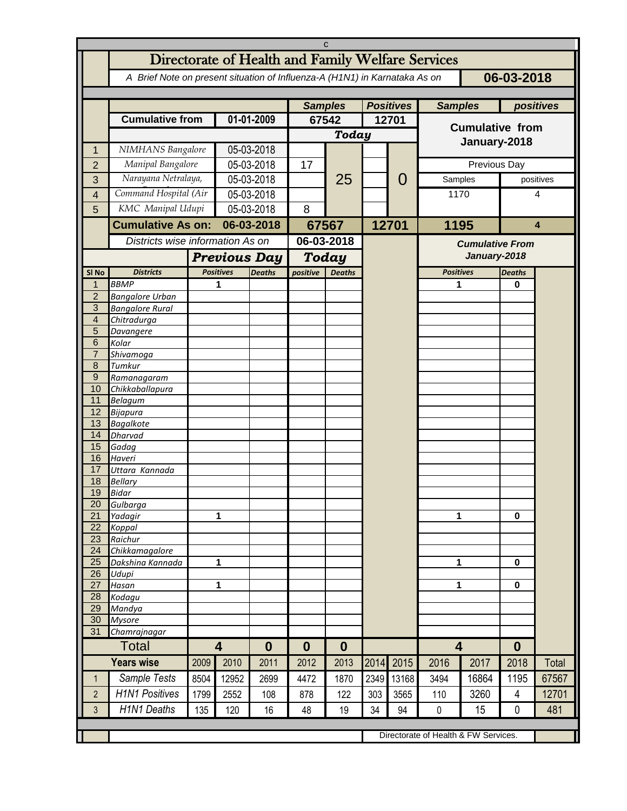| C                   |                                                                                          |      |                                      |                  |                |               |                  |       |                         |                        |               |           |  |
|---------------------|------------------------------------------------------------------------------------------|------|--------------------------------------|------------------|----------------|---------------|------------------|-------|-------------------------|------------------------|---------------|-----------|--|
|                     | Directorate of Health and Family Welfare Services                                        |      |                                      |                  |                |               |                  |       |                         |                        |               |           |  |
|                     | 06-03-2018<br>A Brief Note on present situation of Influenza-A (H1N1) in Karnataka As on |      |                                      |                  |                |               |                  |       |                         |                        |               |           |  |
|                     |                                                                                          |      |                                      |                  |                |               |                  |       |                         |                        |               |           |  |
|                     |                                                                                          |      |                                      |                  | <b>Samples</b> |               | <b>Positives</b> |       |                         | <b>Samples</b>         |               | positives |  |
|                     | <b>Cumulative from</b>                                                                   |      | 01-01-2009                           |                  | 67542          |               | 12701            |       |                         |                        |               |           |  |
|                     |                                                                                          |      |                                      |                  |                | Today         |                  |       | <b>Cumulative from</b>  |                        |               |           |  |
| 1                   | NIMHANS Bangalore                                                                        |      | 05-03-2018                           |                  |                |               |                  |       | January-2018            |                        |               |           |  |
| $\overline{2}$      | Manipal Bangalore                                                                        |      | 05-03-2018                           |                  | 17             |               |                  |       | Previous Day            |                        |               |           |  |
| 3                   | Narayana Netralaya,                                                                      |      | 05-03-2018                           |                  |                | 25            |                  | 0     | Samples                 |                        | positives     |           |  |
| $\overline{4}$      | Command Hospital (Air                                                                    |      | 05-03-2018                           |                  |                |               |                  |       | 1170                    |                        | 4             |           |  |
| 5                   | KMC Manipal Udupi                                                                        |      | 05-03-2018                           |                  | 8              |               |                  |       | 1195                    |                        | 4             |           |  |
|                     | <b>Cumulative As on:</b>                                                                 |      | 06-03-2018                           |                  |                |               |                  |       |                         |                        |               |           |  |
|                     | Districts wise information As on                                                         |      |                                      |                  | 67567          |               | 12701            |       |                         |                        |               |           |  |
|                     |                                                                                          |      |                                      |                  | 06-03-2018     |               |                  |       |                         | <b>Cumulative From</b> |               |           |  |
|                     |                                                                                          |      | <b>Previous Day</b>                  |                  |                | Today         |                  |       | January-2018            |                        |               |           |  |
| SI No               | <b>Districts</b>                                                                         |      | <b>Positives</b>                     | <b>Deaths</b>    | positive       | <b>Deaths</b> |                  |       | <b>Positives</b>        |                        | <b>Deaths</b> |           |  |
| 1                   | <b>BBMP</b>                                                                              |      | 1                                    |                  |                |               |                  |       | 1                       |                        | 0             |           |  |
| $\overline{2}$<br>3 | <b>Bangalore Urban</b><br><b>Bangalore Rural</b>                                         |      |                                      |                  |                |               |                  |       |                         |                        |               |           |  |
| $\overline{4}$      | Chitradurga                                                                              |      |                                      |                  |                |               |                  |       |                         |                        |               |           |  |
| 5                   | Davangere                                                                                |      |                                      |                  |                |               |                  |       |                         |                        |               |           |  |
| 6                   | Kolar                                                                                    |      |                                      |                  |                |               |                  |       |                         |                        |               |           |  |
| $\overline{7}$      | Shivamoga                                                                                |      |                                      |                  |                |               |                  |       |                         |                        |               |           |  |
| 8<br>9              | Tumkur<br>Ramanagaram                                                                    |      |                                      |                  |                |               |                  |       |                         |                        |               |           |  |
| 10                  | Chikkaballapura                                                                          |      |                                      |                  |                |               |                  |       |                         |                        |               |           |  |
| 11                  | <b>Belagum</b>                                                                           |      |                                      |                  |                |               |                  |       |                         |                        |               |           |  |
| 12                  | Bijapura                                                                                 |      |                                      |                  |                |               |                  |       |                         |                        |               |           |  |
| 13                  | <b>Bagalkote</b>                                                                         |      |                                      |                  |                |               |                  |       |                         |                        |               |           |  |
| 14<br>15            | <b>Dharvad</b><br>Gadag                                                                  |      |                                      |                  |                |               |                  |       |                         |                        |               |           |  |
| 16                  | Haveri                                                                                   |      |                                      |                  |                |               |                  |       |                         |                        |               |           |  |
| 17                  | Uttara Kannada                                                                           |      |                                      |                  |                |               |                  |       |                         |                        |               |           |  |
| 18                  | <b>Bellary</b>                                                                           |      |                                      |                  |                |               |                  |       |                         |                        |               |           |  |
| 19                  | Bidar                                                                                    |      |                                      |                  |                |               |                  |       |                         |                        |               |           |  |
| 20<br>21            | Gulbarga<br>Yadagir                                                                      |      | 1                                    |                  |                |               |                  |       | 1                       |                        | 0             |           |  |
| $\overline{22}$     | Koppal                                                                                   |      |                                      |                  |                |               |                  |       |                         |                        |               |           |  |
| 23                  | Raichur                                                                                  |      |                                      |                  |                |               |                  |       |                         |                        |               |           |  |
| $\overline{24}$     | Chikkamagalore                                                                           |      |                                      |                  |                |               |                  |       |                         |                        |               |           |  |
| 25                  | Dakshina Kannada                                                                         |      | $\mathbf{1}$                         |                  |                |               |                  |       | 1                       |                        | 0             |           |  |
| 26<br>27            | Udupi<br>Hasan                                                                           |      | 1                                    |                  |                |               |                  |       | 1                       |                        | 0             |           |  |
| 28                  | Kodagu                                                                                   |      |                                      |                  |                |               |                  |       |                         |                        |               |           |  |
| 29                  | Mandya                                                                                   |      |                                      |                  |                |               |                  |       |                         |                        |               |           |  |
| 30                  | <b>Mysore</b>                                                                            |      |                                      |                  |                |               |                  |       |                         |                        |               |           |  |
| 31                  | Chamrajnagar                                                                             |      |                                      |                  |                |               |                  |       |                         |                        |               |           |  |
|                     | <b>Total</b>                                                                             |      | $\overline{\mathbf{4}}$              | $\boldsymbol{0}$ | 0              | $\bf{0}$      |                  |       | $\overline{\mathbf{4}}$ |                        | $\bf{0}$      |           |  |
|                     | <b>Years wise</b>                                                                        | 2009 | 2010                                 | 2011             | 2012           | 2013          | 2014             | 2015  | 2016                    | 2017                   | 2018          | Total     |  |
| $\mathbf{1}$        | Sample Tests                                                                             | 8504 | 12952                                | 2699             | 4472           | 1870          | 2349             | 13168 | 3494                    | 16864                  | 1195          | 67567     |  |
| $\overline{2}$      | <b>H1N1 Positives</b>                                                                    | 1799 | 2552                                 | 108              | 878            | 122           | 303              | 3565  | 110                     | 3260                   | 4             | 12701     |  |
| 3                   | <b>H1N1 Deaths</b>                                                                       | 135  | 120                                  | 16               | 48             | 19            | 34               | 94    | 0                       | 15                     | 0             | 481       |  |
|                     |                                                                                          |      |                                      |                  |                |               |                  |       |                         |                        |               |           |  |
|                     |                                                                                          |      | Directorate of Health & FW Services. |                  |                |               |                  |       |                         |                        |               |           |  |